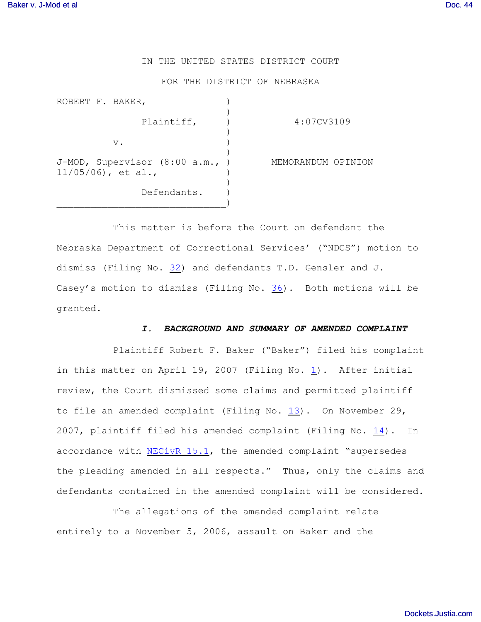## IN THE UNITED STATES DISTRICT COURT

#### FOR THE DISTRICT OF NEBRASKA

| ROBERT F. BAKER,                                      |                    |
|-------------------------------------------------------|--------------------|
| Plaintiff,                                            | 4:07CV3109         |
| $V$ .                                                 |                    |
| J-MOD, Supervisor (8:00 a.m.,<br>$11/05/06$ , et al., | MEMORANDUM OPINION |
| Defendants.                                           |                    |

This matter is before the Court on defendant the Nebraska Department of Correctional Services' ("NDCS") motion to dismiss (Filing No. [32](http://ecf.ned.uscourts.gov/doc1/11301492537)) and defendants T.D. Gensler and J. Casey's motion to dismiss (Filing No.  $36$ ). Both motions will be granted.

### *I. BACKGROUND AND SUMMARY OF AMENDED COMPLAINT*

Plaintiff Robert F. Baker ("Baker") filed his complaint in this matter on April [1](http://ecf.ned.uscourts.gov/doc1/1130586882)9, 2007 (Filing No.  $\underline{1}$ ). After initial review, the Court dismissed some claims and permitted plaintiff to file an amended complaint (Filing No. [13](http://ecf.ned.uscourts.gov/doc1/11301312934)). On November 29, 2007, plaintiff filed his amended complaint (Filing No.  $\underline{14}$ ). In accordance with [NECivR 15.1](http://www.ned.uscourts.gov/localrules/NECivR07-1029.pdf), the amended complaint "supersedes the pleading amended in all respects." Thus, only the claims and defendants contained in the amended complaint will be considered.

The allegations of the amended complaint relate entirely to a November 5, 2006, assault on Baker and the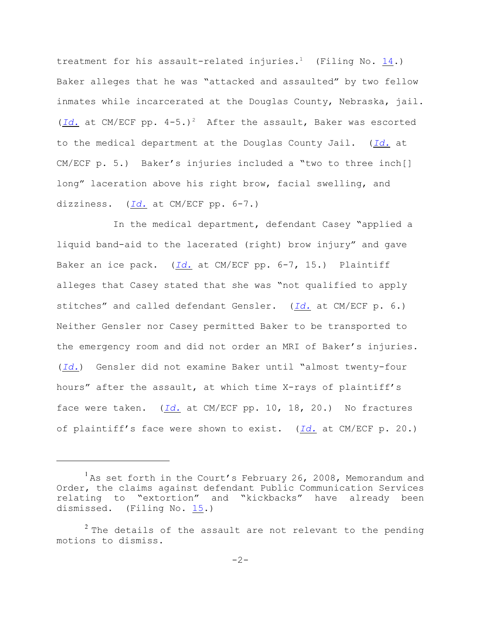treatment for his assault-related injuries.<sup>1</sup> (Filing No. [14](http://ecf.ned.uscourts.gov/doc1/1130663311).) Baker alleges that he was "attacked and assaulted" by two fellow inmates while incarcerated at the Douglas County, Nebraska, jail. ( $Id.$  at CM/ECF pp.  $4-5.$ )<sup>2</sup> After the assault, Baker was escorted to the medical department at the Douglas County Jail. (*[Id.](https://ecf.ned.uscourts.gov/doc1/1130663311)* at CM/ECF p. 5.) Baker's injuries included a "two to three inch[] long" laceration above his right brow, facial swelling, and dizziness. (*[Id.](https://ecf.ned.uscourts.gov/doc1/1130663311)* at CM/ECF pp. 6-7.)

In the medical department, defendant Casey "applied a liquid band-aid to the lacerated (right) brow injury" and gave Baker an ice pack. (*[Id.](https://ecf.ned.uscourts.gov/doc1/1130663311)* at CM/ECF pp. 6-7, 15.) Plaintiff alleges that Casey stated that she was "not qualified to apply stitches" and called defendant Gensler. (*[Id.](https://ecf.ned.uscourts.gov/doc1/1130663311)* at CM/ECF p. 6.) Neither Gensler nor Casey permitted Baker to be transported to the emergency room and did not order an MRI of Baker's injuries. (*[Id.](https://ecf.ned.uscourts.gov/doc1/1130663311)*) Gensler did not examine Baker until "almost twenty-four hours" after the assault, at which time X-rays of plaintiff's face were taken. (*[Id.](https://ecf.ned.uscourts.gov/doc1/1130663311)* at CM/ECF pp. 10, 18, 20.) No fractures of plaintiff's face were shown to exist. (*[Id.](https://ecf.ned.uscourts.gov/doc1/1130663311)* at CM/ECF p. 20.)

 $1$ As set forth in the Court's February 26, 2008, Memorandum and Order, the claims against defendant Public Communication Services relating to "extortion" and "kickbacks" have already been dismissed. (Filing No. [15](http://ecf.ned.uscourts.gov/doc1/11301385223).)

 $1$ <sup>2</sup> The details of the assault are not relevant to the pending motions to dismiss.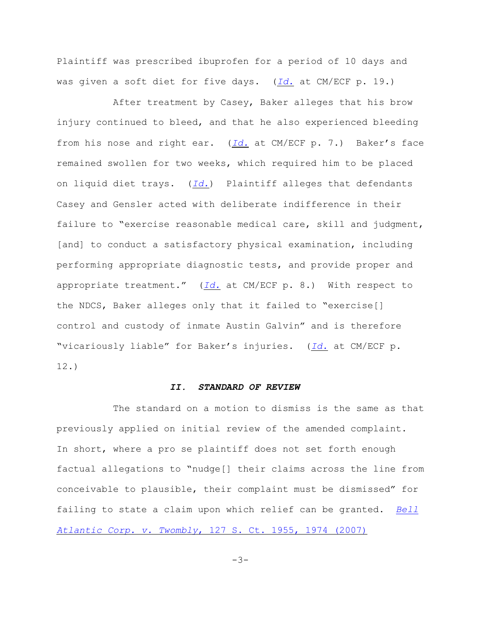Plaintiff was prescribed ibuprofen for a period of 10 days and was given a soft diet for five days. (*[Id.](https://ecf.ned.uscourts.gov/doc1/1130663311)* at CM/ECF p. 19.)

After treatment by Casey, Baker alleges that his brow injury continued to bleed, and that he also experienced bleeding from his nose and right ear. (*[Id.](https://ecf.ned.uscourts.gov/doc1/1130663311)* at CM/ECF p. 7.) Baker's face remained swollen for two weeks, which required him to be placed on liquid diet trays. (*[Id.](https://ecf.ned.uscourts.gov/doc1/1130663311)*) Plaintiff alleges that defendants Casey and Gensler acted with deliberate indifference in their failure to "exercise reasonable medical care, skill and judgment, [and] to conduct a satisfactory physical examination, including performing appropriate diagnostic tests, and provide proper and appropriate treatment." (*[Id.](https://ecf.ned.uscourts.gov/doc1/1130663311)* at CM/ECF p. 8.) With respect to the NDCS, Baker alleges only that it failed to "exercise[] control and custody of inmate Austin Galvin" and is therefore "vicariously liable" for Baker's injuries. (*[Id.](https://ecf.ned.uscourts.gov/doc1/1130663311)* at CM/ECF p. 12.)

## *II. STANDARD OF REVIEW*

The standard on a motion to dismiss is the same as that previously applied on initial review of the amended complaint. In short, where a pro se plaintiff does not set forth enough factual allegations to "nudge[] their claims across the line from conceivable to plausible, their complaint must be dismissed" for failing to state a claim upon which relief can be granted. *[Bell](http://www.westlaw.com/find/default.wl?rs=CLWP3.0&vr=2.0&cite=127+S.Ct.+1955) Atlantic Corp. v. Twombly*[, 127 S. Ct. 1955, 1974 \(2007\)](http://www.westlaw.com/find/default.wl?rs=CLWP3.0&vr=2.0&cite=127+S.Ct.+1955)

 $-3-$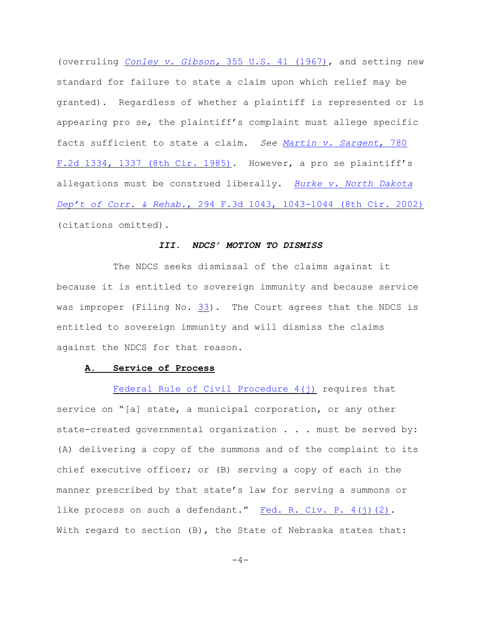(overruling *[Conley v. Gibson,](http://web2.westlaw.com/find/default.wl?fn=_top&rs=WLW8.04&rp=%2ffind%2fdefault.wl&vr=2.0&cite=355+U.S.+41)* 355 U.S. 41 (1967), and setting new standard for failure to state a claim upon which relief may be granted). Regardless of whether a plaintiff is represented or is appearing pro se, the plaintiff's complaint must allege specific facts sufficient to state a claim. *See [Martin v. Sargent](http://www.westlaw.com/find/default.wl?rs=CLWP3.0&vr=2.0&cite=780+F.2d+1334)*, 780 [F.2d 1334, 1337 \(8th Cir. 1985\)](http://www.westlaw.com/find/default.wl?rs=CLWP3.0&vr=2.0&cite=780+F.2d+1334). However, a pro se plaintiff's allegations must be construed liberally. *[Burke v. North Dakota](http://www.westlaw.com/find/default.wl?rs=CLWP3.0&vr=2.0&cite=294+F.3d+1043) Dep't of Corr. & Rehab.*[, 294 F.3d 1043, 1043-1044 \(8th Cir. 2002\)](http://www.westlaw.com/find/default.wl?rs=CLWP3.0&vr=2.0&cite=294+F.3d+1043) (citations omitted).

## *III. NDCS' MOTION TO DISMISS*

The NDCS seeks dismissal of the claims against it because it is entitled to sovereign immunity and because service was improper (Filing No. [33](http://ecf.ned.uscourts.gov/doc1/11301492542)). The Court agrees that the NDCS is entitled to sovereign immunity and will dismiss the claims against the NDCS for that reason.

### **A. Service of Process**

Federal Rule of Civil Procedure  $4(j)$  requires that service on "[a] state, a municipal corporation, or any other state-created governmental organization . . . must be served by: (A) delivering a copy of the summons and of the complaint to its chief executive officer; or (B) serving a copy of each in the manner prescribed by that state's law for serving a summons or like process on such a defendant." [Fed. R. Civ. P. 4\(j\)\(2\)](http://web2.westlaw.com/find/default.wl?bhcp=1&cite=frcp+4&FN=%5Ftop&mt=Westlaw&rs=WLW8%2E08&ssl=y&strRecreate=no&sv=Split&vr=2%2E0). With regard to section (B), the State of Nebraska states that:

 $-4-$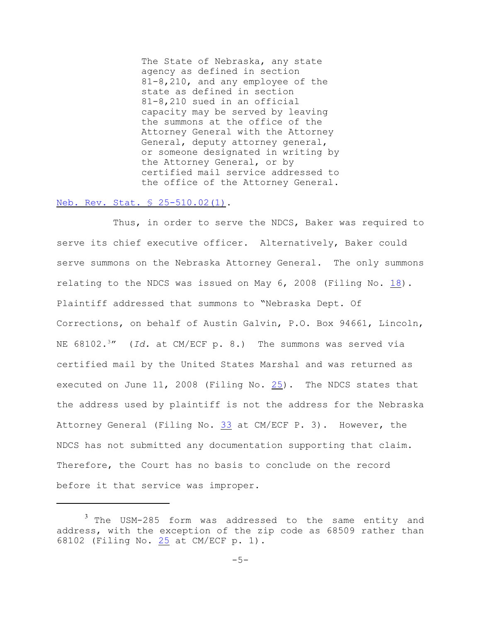The State of Nebraska, any state agency as defined in section 81-8,210, and any employee of the state as defined in section 81-8,210 sued in an official capacity may be served by leaving the summons at the office of the Attorney General with the Attorney General, deputy attorney general, or someone designated in writing by the Attorney General, or by certified mail service addressed to the office of the Attorney General.

# [Neb. Rev. Stat. § 25-510.02\(1\)](http://web2.westlaw.com/find/default.wl?fn=_top&rs=WLW8.08&rp=%2ffind%2fdefault.wl&mt=Westlaw&vr=2.0&sv=Split&cite=neb+rev+stat+section+25-510.02).

Thus, in order to serve the NDCS, Baker was required to serve its chief executive officer. Alternatively, Baker could serve summons on the Nebraska Attorney General. The only summons relating to the NDCS was issued on May 6, 2008 (Filing No. [18](http://ecf.ned.uscourts.gov/doc1/11301439437)). Plaintiff addressed that summons to "Nebraska Dept. Of Corrections, on behalf of Austin Galvin, P.O. Box 94661, Lincoln, NE 68102.<sup>3</sup>" (*Id.* at CM/ECF p. 8.) The summons was served via certified mail by the United States Marshal and was returned as executed on June 11, 2008 (Filing No. [25](http://ecf.ned.uscourts.gov/doc1/11301465966)). The NDCS states that the address used by plaintiff is not the address for the Nebraska Attorney General (Filing No. [33](http://ecf.ned.uscourts.gov/doc1/11301492542) at CM/ECF P. 3). However, the NDCS has not submitted any documentation supporting that claim. Therefore, the Court has no basis to conclude on the record before it that service was improper.

 $3$  The USM-285 form was addressed to the same entity and address, with the exception of the zip code as 68509 rather than 68102 (Filing No. [25](http://ecf.ned.uscourts.gov/doc1/11301465966) at CM/ECF p. 1).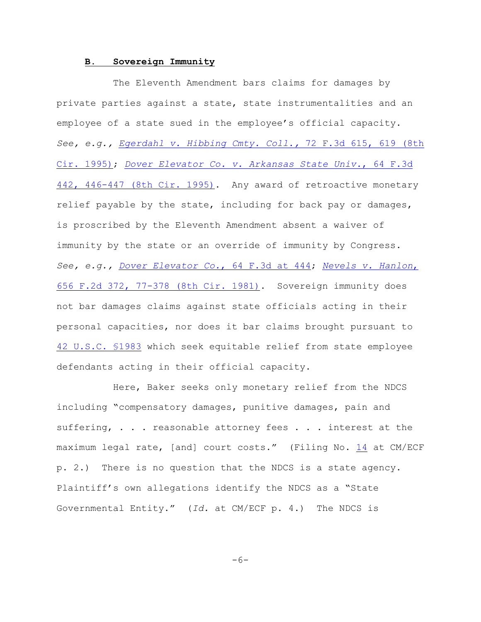## **B. Sovereign Immunity**

The Eleventh Amendment bars claims for damages by private parties against a state, state instrumentalities and an employee of a state sued in the employee's official capacity. *See, e.g., [Egerdahl v. Hibbing Cmty. Coll.,](http://www.westlaw.com/find/default.wl?rs=CLWP3.0&vr=2.0&cite=72+F.3d+615)* 72 F.3d 615, 619 (8th [Cir. 1995\)](http://www.westlaw.com/find/default.wl?rs=CLWP3.0&vr=2.0&cite=72+F.3d+615); *[Dover Elevator Co. v. Arkansas State Univ.](http://www.westlaw.com/find/default.wl?rs=CLWP3.0&vr=2.0&cite=64+F.3d+442)*, 64 F.3d [442, 446-447 \(8th Cir. 1995\)](http://www.westlaw.com/find/default.wl?rs=CLWP3.0&vr=2.0&cite=64+F.3d+442). Any award of retroactive monetary relief payable by the state, including for back pay or damages, is proscribed by the Eleventh Amendment absent a waiver of immunity by the state or an override of immunity by Congress. *See, e.g., [Dover Elevator Co.](http://www.westlaw.com/find/default.wl?rs=CLWP3.0&vr=2.0&cite=64+F.3d+444)*, 64 F.3d at 444; *[Nevels v. Hanlon](http://www.westlaw.com/find/default.wl?rs=CLWP3.0&vr=2.0&cite=656+F.2d+372)*, [656 F.2d 372, 77-378 \(8th Cir. 1981\)](http://www.westlaw.com/find/default.wl?rs=CLWP3.0&vr=2.0&cite=656+F.2d+372). Sovereign immunity does not bar damages claims against state officials acting in their personal capacities, nor does it bar claims brought pursuant to [42 U.S.C. §1983](http://www.westlaw.com/find/default.wl?rs=CLWP3.0&vr=2.0&cite=42+USCA+s1983) which seek equitable relief from state employee defendants acting in their official capacity.

Here, Baker seeks only monetary relief from the NDCS including "compensatory damages, punitive damages, pain and suffering, . . . reasonable attorney fees . . . interest at the maximum legal rate, [and] court costs." (Filing No. [14](http://ecf.ned.uscourts.gov/doc1/1130663311) at CM/ECF p. 2.) There is no question that the NDCS is a state agency. Plaintiff's own allegations identify the NDCS as a "State Governmental Entity." (*Id.* at CM/ECF p. 4.) The NDCS is

 $-6-$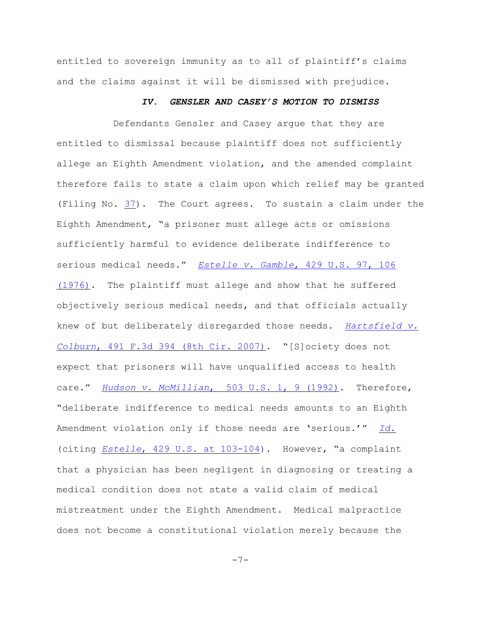entitled to sovereign immunity as to all of plaintiff's claims and the claims against it will be dismissed with prejudice.

### *IV. GENSLER AND CASEY'S MOTION TO DISMISS*

Defendants Gensler and Casey argue that they are entitled to dismissal because plaintiff does not sufficiently allege an Eighth Amendment violation, and the amended complaint therefore fails to state a claim upon which relief may be granted (Filing No. [37](http://ecf.ned.uscourts.gov/doc1/11301495707)). The Court agrees. To sustain a claim under the Eighth Amendment, "a prisoner must allege acts or omissions sufficiently harmful to evidence deliberate indifference to serious medical needs." *Estelle v. Gamble*[, 429 U.S. 97, 106](http://web2.westlaw.com/find/default.wl?fn=_top&rs=WLW8.10&rp=%2ffind%2fdefault.wl&mt=Westlaw&vr=2.0&sv=Split&cite=429+us+106) [\(1976\)](http://web2.westlaw.com/find/default.wl?fn=_top&rs=WLW8.10&rp=%2ffind%2fdefault.wl&mt=Westlaw&vr=2.0&sv=Split&cite=429+us+106). The plaintiff must allege and show that he suffered objectively serious medical needs, and that officials actually knew of but deliberately disregarded those needs. *[Hartsfield v.](http://web2.westlaw.com/find/default.wl?fn=_top&rs=WLW8.10&rp=%2ffind%2fdefault.wl&mt=Westlaw&vr=2.0&sv=Split&cite=491+f+3d+394) Colburn*[, 491 F.3d 394 \(8th Cir. 2007\)](http://web2.westlaw.com/find/default.wl?fn=_top&rs=WLW8.10&rp=%2ffind%2fdefault.wl&mt=Westlaw&vr=2.0&sv=Split&cite=491+f+3d+394). "[S]ociety does not expect that prisoners will have unqualified access to health care." *Hudson v. McMillian*[, 503 U.S. 1, 9 \(1992\)](http://web2.westlaw.com/find/default.wl?fn=_top&rs=WLW8.10&rp=%2ffind%2fdefault.wl&mt=Westlaw&vr=2.0&sv=Split&cite=503+us+9). Therefore, "deliberate indifference to medical needs amounts to an Eighth Amendment violation only if those needs are 'serious.'" *[Id.](http://web2.westlaw.com/find/default.wl?fn=_top&rs=WLW8.10&rp=%2ffind%2fdefault.wl&mt=Westlaw&vr=2.0&sv=Split&cite=503+us+9)* (citing *Estelle*[, 429 U.S. at 103-104](http://web2.westlaw.com/find/default.wl?fn=_top&rs=WLW8.10&rp=%2ffind%2fdefault.wl&mt=Westlaw&vr=2.0&sv=Split&cite=429+us+103)). However, "a complaint that a physician has been negligent in diagnosing or treating a medical condition does not state a valid claim of medical mistreatment under the Eighth Amendment. Medical malpractice does not become a constitutional violation merely because the

-7-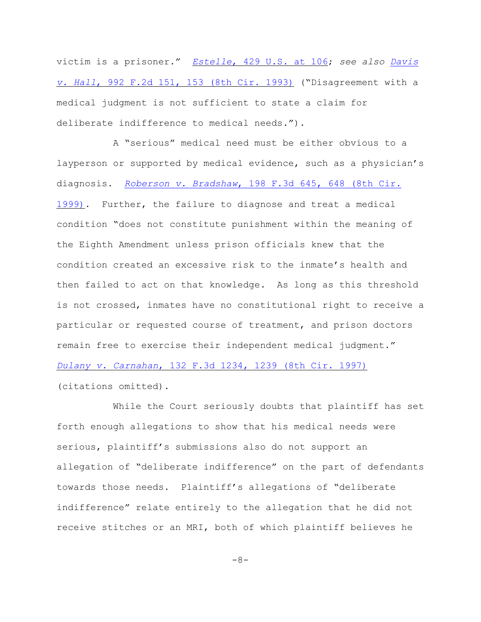victim is a prisoner." *Estelle*[, 429 U.S. at 106](http://web2.westlaw.com/find/default.wl?fn=_top&rs=WLW8.10&rp=%2ffind%2fdefault.wl&mt=Westlaw&vr=2.0&sv=Split&cite=429+us+106); *see also [Davis](http://web2.westlaw.com/find/default.wl?fn=_top&rs=WLW8.10&rp=%2ffind%2fdefault.wl&mt=Westlaw&vr=2.0&sv=Split&cite=992+f+2d+153) v. Hall*[, 992 F.2d 151, 153 \(8th Cir. 1993\)](http://web2.westlaw.com/find/default.wl?fn=_top&rs=WLW8.10&rp=%2ffind%2fdefault.wl&mt=Westlaw&vr=2.0&sv=Split&cite=992+f+2d+153) ("Disagreement with a medical judgment is not sufficient to state a claim for deliberate indifference to medical needs.").

A "serious" medical need must be either obvious to a layperson or supported by medical evidence, such as a physician's diagnosis. *Roberson v. Bradshaw*[, 198 F.3d 645, 648 \(8th Cir.](file:///|//v) [1999\)](file:///|//v). Further, the failure to diagnose and treat a medical condition "does not constitute punishment within the meaning of the Eighth Amendment unless prison officials knew that the condition created an excessive risk to the inmate's health and then failed to act on that knowledge. As long as this threshold is not crossed, inmates have no constitutional right to receive a particular or requested course of treatment, and prison doctors remain free to exercise their independent medical judgment." *Dulany v. Carnahan*[, 132 F.3d 1234, 1239 \(8th Cir. 1997\)](http://web2.westlaw.com/find/default.wl?fn=_top&rs=WLW8.10&rp=%2ffind%2fdefault.wl&mt=Westlaw&vr=2.0&sv=Split&cite=132+f+3d+1239) (citations omitted).

While the Court seriously doubts that plaintiff has set forth enough allegations to show that his medical needs were serious, plaintiff's submissions also do not support an allegation of "deliberate indifference" on the part of defendants towards those needs. Plaintiff's allegations of "deliberate indifference" relate entirely to the allegation that he did not receive stitches or an MRI, both of which plaintiff believes he

-8-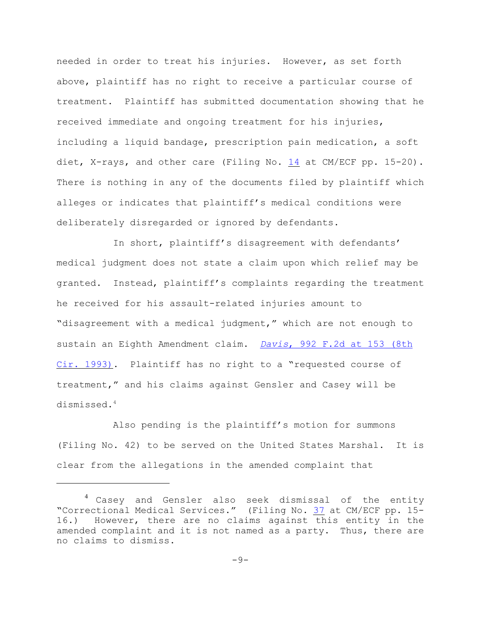needed in order to treat his injuries. However, as set forth above, plaintiff has no right to receive a particular course of treatment. Plaintiff has submitted documentation showing that he received immediate and ongoing treatment for his injuries, including a liquid bandage, prescription pain medication, a soft diet, X-rays, and other care (Filing No. [14](http://ecf.ned.uscourts.gov/doc1/1130663311) at CM/ECF pp. 15-20). There is nothing in any of the documents filed by plaintiff which alleges or indicates that plaintiff's medical conditions were deliberately disregarded or ignored by defendants.

In short, plaintiff's disagreement with defendants' medical judgment does not state a claim upon which relief may be granted. Instead, plaintiff's complaints regarding the treatment he received for his assault-related injuries amount to "disagreement with a medical judgment," which are not enough to sustain an Eighth Amendment claim. *Davis*[, 992 F.2d at 153 \(8th](http://web2.westlaw.com/find/default.wl?fn=_top&rs=WLW8.10&rp=%2ffind%2fdefault.wl&mt=Westlaw&vr=2.0&sv=Split&cite=992+f+2d+153) [Cir. 1993\)](http://web2.westlaw.com/find/default.wl?fn=_top&rs=WLW8.10&rp=%2ffind%2fdefault.wl&mt=Westlaw&vr=2.0&sv=Split&cite=992+f+2d+153). Plaintiff has no right to a "requested course of treatment," and his claims against Gensler and Casey will be dismissed. 4

Also pending is the plaintiff's motion for summons (Filing No. 42) to be served on the United States Marshal. It is clear from the allegations in the amended complaint that

 $^4$  Casey and Gensler also seek dismissal of the entity "Correctional Medical Services." (Filing No. [37](http://ecf.ned.uscourts.gov/doc1/11301495707) at CM/ECF pp. 15- 16.) However, there are no claims against this entity in the amended complaint and it is not named as a party. Thus, there are no claims to dismiss.